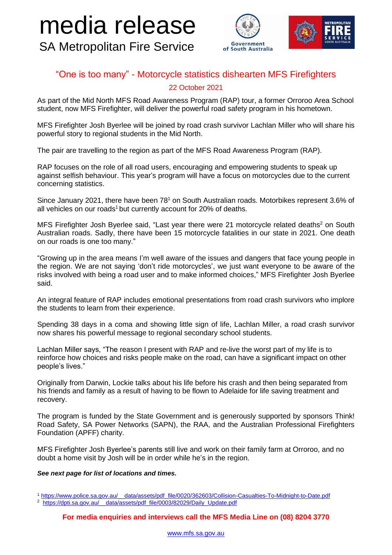## media release SA Metropolitan Fire Service



### "One is too many" - Motorcycle statistics dishearten MFS Firefighters 22 October 2021

As part of the Mid North MFS Road Awareness Program (RAP) tour, a former Orroroo Area School student, now MFS Firefighter, will deliver the powerful road safety program in his hometown.

MFS Firefighter Josh Byerlee will be joined by road crash survivor Lachlan Miller who will share his powerful story to regional students in the Mid North.

The pair are travelling to the region as part of the MFS Road Awareness Program (RAP).

RAP focuses on the role of all road users, encouraging and empowering students to speak up against selfish behaviour. This year's program will have a focus on motorcycles due to the current concerning statistics.

Since January 2021, there have been 78<sup>1</sup> on South Australian roads. Motorbikes represent 3.6% of all vehicles on our roads<sup>1</sup> but currently account for 20% of deaths.

MFS Firefighter Josh Byerlee said, "Last year there were 21 motorcycle related deaths<sup>2</sup> on South Australian roads. Sadly, there have been 15 motorcycle fatalities in our state in 2021. One death on our roads is one too many."

"Growing up in the area means I'm well aware of the issues and dangers that face young people in the region. We are not saying 'don't ride motorcycles', we just want everyone to be aware of the risks involved with being a road user and to make informed choices," MFS Firefighter Josh Byerlee said.

An integral feature of RAP includes emotional presentations from road crash survivors who implore the students to learn from their experience.

Spending 38 days in a coma and showing little sign of life, Lachlan Miller, a road crash survivor now shares his powerful message to regional secondary school students.

Lachlan Miller says, "The reason I present with RAP and re-live the worst part of my life is to reinforce how choices and risks people make on the road, can have a significant impact on other people's lives."

Originally from Darwin, Lockie talks about his life before his crash and then being separated from his friends and family as a result of having to be flown to Adelaide for life saving treatment and recovery.

The program is funded by the State Government and is generously supported by sponsors Think! Road Safety, SA Power Networks (SAPN), the RAA, and the Australian Professional Firefighters Foundation (APFF) charity.

MFS Firefighter Josh Byerlee's parents still live and work on their family farm at Orroroo, and no doubt a home visit by Josh will be in order while he's in the region.

#### *See next page for list of locations and times.*

<sup>1</sup> [https://www.police.sa.gov.au/\\_\\_data/assets/pdf\\_file/0020/362603/Collision-Casualties-To-Midnight-to-Date.pdf](https://www.police.sa.gov.au/__data/assets/pdf_file/0020/362603/Collision-Casualties-To-Midnight-to-Date.pdf) <sup>2</sup> https://dpti.sa.gov.au/ data/assets/pdf file/0003/82029/Daily Update.pdf

#### **For media enquiries and interviews call the MFS Media Line on (08) 8204 3770**